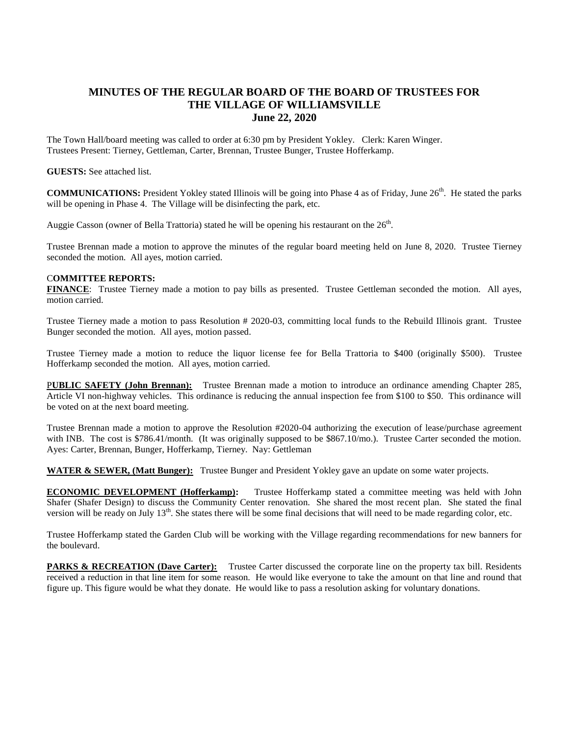## **MINUTES OF THE REGULAR BOARD OF THE BOARD OF TRUSTEES FOR THE VILLAGE OF WILLIAMSVILLE June 22, 2020**

The Town Hall/board meeting was called to order at 6:30 pm by President Yokley. Clerk: Karen Winger. Trustees Present: Tierney, Gettleman, Carter, Brennan, Trustee Bunger, Trustee Hofferkamp.

## **GUESTS:** See attached list.

**COMMUNICATIONS:** President Yokley stated Illinois will be going into Phase 4 as of Friday, June 26<sup>th</sup>. He stated the parks will be opening in Phase 4. The Village will be disinfecting the park, etc.

Auggie Casson (owner of Bella Trattoria) stated he will be opening his restaurant on the  $26<sup>th</sup>$ .

Trustee Brennan made a motion to approve the minutes of the regular board meeting held on June 8, 2020. Trustee Tierney seconded the motion. All ayes, motion carried.

## C**OMMITTEE REPORTS:**

**FINANCE**: Trustee Tierney made a motion to pay bills as presented. Trustee Gettleman seconded the motion. All ayes, motion carried.

Trustee Tierney made a motion to pass Resolution # 2020-03, committing local funds to the Rebuild Illinois grant. Trustee Bunger seconded the motion. All ayes, motion passed.

Trustee Tierney made a motion to reduce the liquor license fee for Bella Trattoria to \$400 (originally \$500). Trustee Hofferkamp seconded the motion. All ayes, motion carried.

P**UBLIC SAFETY (John Brennan):** Trustee Brennan made a motion to introduce an ordinance amending Chapter 285, Article VI non-highway vehicles. This ordinance is reducing the annual inspection fee from \$100 to \$50. This ordinance will be voted on at the next board meeting.

Trustee Brennan made a motion to approve the Resolution #2020-04 authorizing the execution of lease/purchase agreement with INB. The cost is \$786.41/month. (It was originally supposed to be \$867.10/mo.). Trustee Carter seconded the motion. Ayes: Carter, Brennan, Bunger, Hofferkamp, Tierney. Nay: Gettleman

**WATER & SEWER, (Matt Bunger):** Trustee Bunger and President Yokley gave an update on some water projects.

**ECONOMIC DEVELOPMENT (Hofferkamp):** Trustee Hofferkamp stated a committee meeting was held with John Shafer (Shafer Design) to discuss the Community Center renovation. She shared the most recent plan. She stated the final version will be ready on July  $13<sup>th</sup>$ . She states there will be some final decisions that will need to be made regarding color, etc.

Trustee Hofferkamp stated the Garden Club will be working with the Village regarding recommendations for new banners for the boulevard.

**PARKS & RECREATION (Dave Carter):** Trustee Carter discussed the corporate line on the property tax bill. Residents received a reduction in that line item for some reason. He would like everyone to take the amount on that line and round that figure up. This figure would be what they donate. He would like to pass a resolution asking for voluntary donations.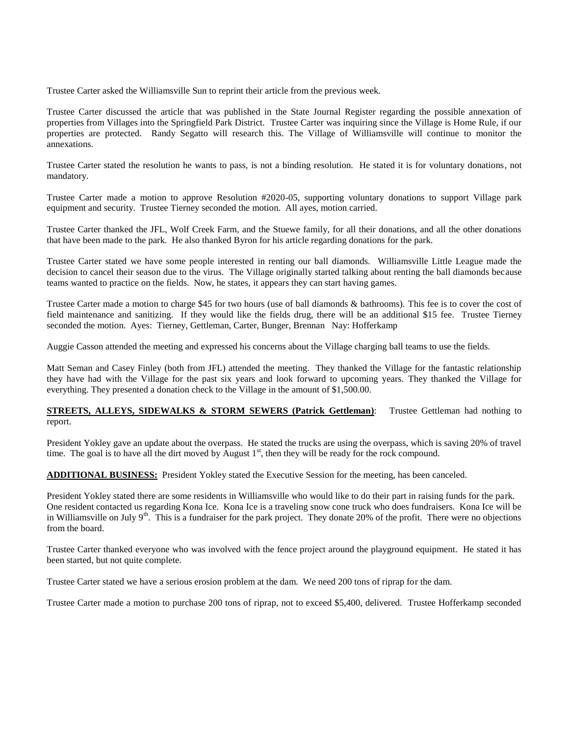Trustee Carter asked the Williamsville Sun to reprint their article from the previous week.

Trustee Carter discussed the article that was published in the State Journal Register regarding the possible annexation of properties from Villages into the Springfield Park District. Trustee Carter was inquiring since the Village is Home Rule, if our properties are protected. Randy Segatto will research this. The Village of Williamsville will continue to monitor the annexations.

Trustee Carter stated the resolution he wants to pass, is not a binding resolution. He stated it is for voluntary donations, not mandatory.

Trustee Carter made a motion to approve Resolution #2020-05, supporting voluntary donations to support Village park equipment and security. Trustee Tierney seconded the motion. All ayes, motion carried.

Trustee Carter thanked the JFL, Wolf Creek Farm, and the Stuewe family, for all their donations, and all the other donations that have been made to the park. He also thanked Byron for his article regarding donations for the park.

Trustee Carter stated we have some people interested in renting our ball diamonds. Williamsville Little League made the decision to cancel their season due to the virus. The Village originally started talking about renting the ball diamonds because teams wanted to practice on the fields. Now, he states, it appears they can start having games.

Trustee Carter made a motion to charge \$45 for two hours (use of ball diamonds & bathrooms). This fee is to cover the cost of field maintenance and sanitizing. If they would like the fields drug, there will be an additional \$15 fee. Trustee Tierney seconded the motion. Ayes: Tierney, Gettleman, Carter, Bunger, Brennan Nay: Hofferkamp

Auggie Casson attended the meeting and expressed his concerns about the Village charging ball teams to use the fields.

Matt Seman and Casey Finley (both from JFL) attended the meeting. They thanked the Village for the fantastic relationship they have had with the Village for the past six years and look forward to upcoming years. They thanked the Village for everything. They presented a donation check to the Village in the amount of \$1,500.00.

## **STREETS, ALLEYS, SIDEWALKS & STORM SEWERS (Patrick Gettleman):** Trustee Gettleman had nothing to report.

President Yokley gave an update about the overpass. He stated the trucks are using the overpass, which is saving 20% of travel time. The goal is to have all the dirt moved by August  $1<sup>st</sup>$ , then they will be ready for the rock compound.

**ADDITIONAL BUSINESS:** President Yokley stated the Executive Session for the meeting, has been canceled.

President Yokley stated there are some residents in Williamsville who would like to do their part in raising funds for the park. One resident contacted us regarding Kona Ice. Kona Ice is a traveling snow cone truck who does fundraisers. Kona Ice will be in Williamsville on July  $9<sup>th</sup>$ . This is a fundraiser for the park project. They donate 20% of the profit. There were no objections from the board.

Trustee Carter thanked everyone who was involved with the fence project around the playground equipment. He stated it has been started, but not quite complete.

Trustee Carter stated we have a serious erosion problem at the dam. We need 200 tons of riprap for the dam.

Trustee Carter made a motion to purchase 200 tons of riprap, not to exceed \$5,400, delivered. Trustee Hofferkamp seconded